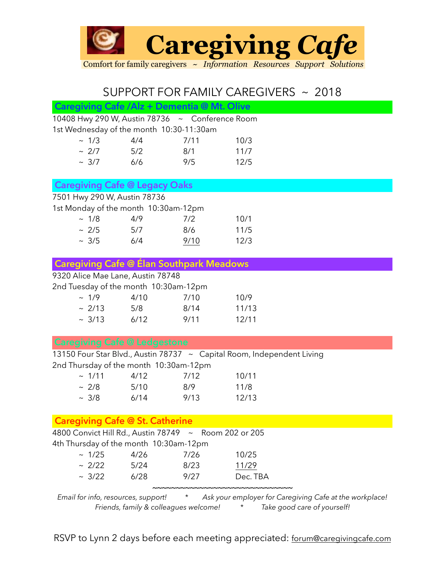

## SUPPORT FOR FAMILY CAREGIVERS ~ 2018

| Caregiving Cafe / Alz + Dementia @ Mt. Olive          |       |         |                                                                                                |  |
|-------------------------------------------------------|-------|---------|------------------------------------------------------------------------------------------------|--|
| 10408 Hwy 290 W, Austin 78736 ~ Conference Room       |       |         |                                                                                                |  |
| 1st Wednesday of the month 10:30-11:30am              |       |         |                                                                                                |  |
| ~1/3                                                  | 4/4   | 7/11    | 10/3                                                                                           |  |
| ~2/7                                                  | 5/2   | 8/1     | 11/7                                                                                           |  |
| $~\sim~3/7$                                           | $6/6$ | 9/5     | 12/5                                                                                           |  |
|                                                       |       |         |                                                                                                |  |
| <b>Caregiving Cafe @ Legacy Oaks</b>                  |       |         |                                                                                                |  |
| 7501 Hwy 290 W, Austin 78736                          |       |         |                                                                                                |  |
| 1st Monday of the month 10:30am-12pm                  |       |         |                                                                                                |  |
| ~1/8                                                  | 4/9   | 7/2     | 10/1                                                                                           |  |
| ~2/5                                                  | 5/7   | 8/6     | 11/5                                                                                           |  |
| ~1.3/5                                                | 6/4   | 9/10    | 12/3                                                                                           |  |
|                                                       |       |         |                                                                                                |  |
| <b>Caregiving Cafe @ Elan Southpark Meadows</b>       |       |         |                                                                                                |  |
| 9320 Alice Mae Lane, Austin 78748                     |       |         |                                                                                                |  |
| 2nd Tuesday of the month 10:30am-12pm                 |       |         |                                                                                                |  |
| ~1/9                                                  | 4/10  | 7/10    | 10/9                                                                                           |  |
| $\sim$ 2/13                                           | 5/8   | 8/14    | 11/13                                                                                          |  |
| $~\sim~3/13$                                          | 6/12  | 9/11    | 12/11                                                                                          |  |
| <b>Caregiving Cafe @ Ledgestone</b>                   |       |         |                                                                                                |  |
|                                                       |       |         |                                                                                                |  |
| 2nd Thursday of the month 10:30am-12pm                |       |         | 13150 Four Star Blvd., Austin 78737 ~ Capital Room, Independent Living                         |  |
| ~1/11                                                 | 4/12  | 7/12    | 10/11                                                                                          |  |
| ~2/8                                                  | 5/10  | 8/9     | 11/8                                                                                           |  |
| ~1.3/8                                                | 6/14  | 9/13    | 12/13                                                                                          |  |
|                                                       |       |         |                                                                                                |  |
| <b>Caregiving Cafe @ St. Catherine</b>                |       |         |                                                                                                |  |
| 4800 Convict Hill Rd., Austin 78749 ~ Room 202 or 205 |       |         |                                                                                                |  |
| 4th Thursday of the month 10:30am-12pm                |       |         |                                                                                                |  |
| ~1/25                                                 | 4/26  | 7/26    | 10/25                                                                                          |  |
| $\sim 2/22$                                           | 5/24  | 8/23    | 11/29                                                                                          |  |
| ~3/22                                                 | 6/28  | 9/27    | Dec. TBA                                                                                       |  |
| Email for info, resources, support!                   |       | $\star$ | <b>NNNNNNNNNNNNNNNNNNNNNNNNNNNN</b><br>Ask your employer for Caregiving Cafe at the workplace! |  |

*Friends, family & colleagues welcome! \* Take good care of yourself!*